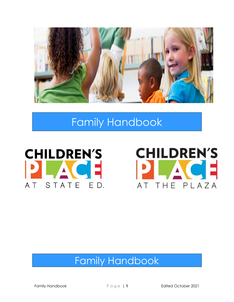

# Family Handbook





# Family Handbook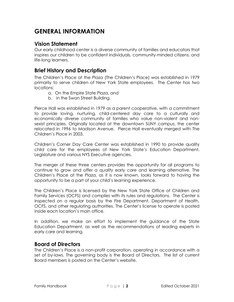# **GENERAL INFORMATION**

#### **Vision Statement**

Our early childhood center is a diverse community of families and educators that inspires our children to be confident individuals, community-minded citizens, and life-long learners.

#### **Brief History and Description**

The Children's Place at the Plaza (The Children's Place) was established in 1979 primarily to serve children of New York State employees. The Center has two locations:

- a. On the Empire State Plaza, and
- b. in the Swan Street Building.

Pierce Hall was established in 1979 as a parent cooperative, with a commitment to provide loving, nurturing, child-centered day care to a culturally and economically diverse community of families who value non-violent and nonsexist principles. Originally located at the downtown SUNY campus, the center relocated in 1996 to Madison Avenue. Pierce Hall eventually merged with The Children's Place in 2003.

Children's Corner Day Care Center was established in 1990 to provide quality child care for the employees of New York State's Education Department, Legislature and various NYS Executive agencies.

The merger of these three centers provides the opportunity for all programs to continue to grow and offer a quality early care and learning alternative. The Children's Place at the Plaza, as it is now known, looks forward to having the opportunity to be a part of your child's learning experience.

The Children's Place is licensed by the New York State Office of Children and Family Services (OCFS) and complies with its rules and regulations. The Center is inspected on a regular basis by the Fire Department, Department of Health, OCFS, and other regulating authorities. The Center's license to operate is posted inside each location's main office.

In addition, we make an effort to implement the guidance of the State Education Department, as well as the recommendations of leading experts in early care and learning.

#### **Board of Directors**

The Children's Place is a non-profit corporation, operating in accordance with a set of by-laws. The governing body is the Board of Directors. The list of current Board members is posted on the Center's website.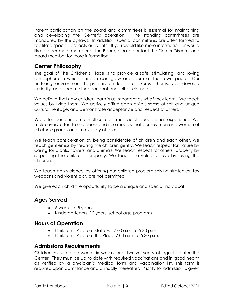Parent participation on the Board and committees is essential for maintaining and developing the Center's operation. The standing committees are mandated by the by-laws. In addition, special committees are often formed to facilitate specific projects or events. If you would like more information or would like to become a member of the Board, please contact the Center Director or a board member for more information.

## **Center Philosophy**

The goal of The Children's Place is to provide a safe, stimulating, and loving atmosphere in which children can grow and learn at their own pace. Our nurturing environment helps children learn to express themselves, develop curiosity, and become independent and self-disciplined.

We believe that *how* children learn is as important as *what* they learn. We teach values by living them. We actively affirm each child's sense of self and unique cultural heritage, and demonstrate acceptance and respect of others.

We offer our children a multicultural, multiracial educational experience. We make every effort to use books and role models that portray men and women of all ethnic groups and in a variety of roles.

We teach consideration by being considerate of children and each other. We teach gentleness by treating the children gently. We teach respect for nature by caring for plants, flowers, and animals. We teach respect for others' property by respecting the children's property. We teach the value of love by loving the children.

We teach non-violence by offering our children problem solving strategies. Toy weapons and violent play are not permitted.

We give each child the opportunity to be a unique and special individual

## **Ages Served**

- 6 weeks to 5 years
- Kindergarteners -12 years; school-age programs

## **Hours of Operation**

- Children's Place at State Ed: 7:00 a.m. to 5:30 p.m.
- Children's Place at the Plaza: 7:00 a.m. to 5:30 p.m.

#### **Admissions Requirements**

Children must be between six weeks and twelve years of age to enter the Center. They must be up to date with required vaccinations and in good health as verified by a physician's medical form and vaccination list. This form is required upon admittance and annually thereafter. Priority for admission is given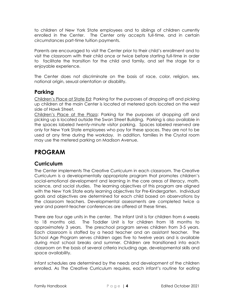to children of New York State employees and to siblings of children currently enrolled in the Center. The Center only accepts full-time, and in certain circumstances part-time tuition payments.

Parents are encouraged to visit the Center prior to their child's enrollment and to visit the classroom with their child once or twice before starting full-time in order to facilitate the transition for the child and family, and set the stage for a enjoyable experience.

The Center does not discriminate on the basis of race, color, religion, sex, national origin, sexual orientation or disability.

# **Parking**

Children's Place at State Ed: Parking for the purposes of dropping off and picking up children at the main Center is located at metered spots located on the west side of Hawk Street.

Children's Place at the Plaza: Parking for the purposes of dropping off and picking up is located outside the Swan Street Building. Parking is also available in the spaces labeled *twenty-minute visitor* parking. Spaces labeled *reserved* are only for New York State employees who pay for these spaces. They are not to be used at any time during the workday. In addition, families in the Crystal room may use the metered parking on Madison Avenue.

# **PROGRAM**

## **Curriculum**

The Center implements The Creative Curriculum in each classroom. The Creative Curriculum is a developmentally appropriate program that promotes children's social-emotional development and learning in the core areas of literacy, math, science, and social studies. The learning objectives of this program are aligned with the New York State early learning objectives for Pre-Kindergarten. Individual goals and objectives are determined for each child based on observations by the classroom teachers. Developmental assessments are completed twice a year and parent-teacher conferences are offered at these times.

There are four age units in the center. The Infant Unit is for children from 6 weeks to 18 months old. The Toddler Unit is for children from 18 months to approximately 3 years. The preschool program serves children from 3-5 years. Each classroom is staffed by a head teacher and an assistant teacher. The School Age Program serves children ages five to twelve years and is available during most school breaks and summer. Children are transitioned into each classroom on the basis of several criteria including age, developmental skills and space availability.

Infant schedules are determined by the needs and development of the children enrolled. As The Creative Curriculum requires, each infant's routine for eating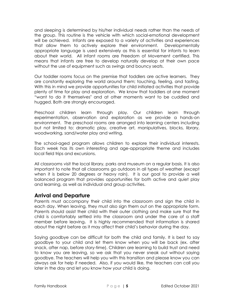and sleeping is determined by his/her individual needs rather than the needs of the group. This routine is the vehicle with which social-emotional development will be achieved. Infants are exposed to a variety of activities and experiences that allow them to actively explore their environment. Developmentally appropriate language is used extensively as this is essential for infants to learn about their world. All infant rooms are Freedom of Movement certified. This means that infants are free to develop naturally develop at their own pace without the use of equipment such as swings and bouncy seats.

Our toddler rooms focus on the premise that toddlers are active learners. They are constantly exploring the world around them; touching, feeling, and tasting. With this in mind we provide opportunities for child initiated activities that provide plenty of time for play and exploration. We know that toddlers at one moment "want to do it themselves" and at other moments want to be cuddled and hugged. Both are strongly encouraged.

Preschool children learn through play. Our children learn through experimentation, observation and exploration as we provide a hands-on environment. The preschool rooms are arranged into learning centers including but not limited to: dramatic play, creative art, manipulatives, blocks, library, woodworking, sand/water play and writing.

The school-aged program allows children to explore their individual interests. Each week has its own interesting and age-appropriate theme and includes local field trips and excursions.

All classrooms visit the local library, parks and museum on a regular basis. It is also important to note that all classrooms go outdoors in all types of weather (except when it is below 20 degrees or heavy rain). It is our goal to provide a well balanced program that provides opportunities for both active and quiet play and learning, as well as individual and group activities.

#### **Arrival and Departure**

Parents must accompany their child into the classroom and sign the child in each day. When leaving, they must also sign them out on the appropriate form. Parents should assist their child with their outer clothing and make sure that the child is comfortably settled into the classroom and under the care of a staff member before leaving**.** It is highly recommended that information is shared about the night before as it may affect their child's behavior during the day.

Saying goodbye can be difficult for both the child and family. It is best to say goodbye to your child and let them know when you will be back (ex. after snack, after nap, before story-time). Children are learning to build trust and need to know you are leaving, so we ask that you never sneak out without saying goodbye. The teachers will help you with this transition and please know you can always ask for help if needed. Also, if you would like, the teachers can call you later in the day and let you know how your child is doing.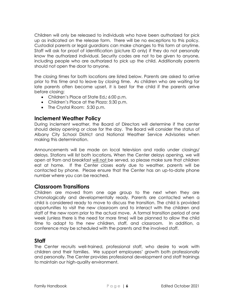Children will only be released to individuals who have been authorized for pick up as indicated on the release form. There will be no exceptions to this policy. Custodial parents or legal guardians can make changes to this form at anytime. Staff will ask for proof of identification (picture ID only) if they do not personally know the authorized individual. Security codes are not to be given to anyone, including people who are authorized to pick up the child. Additionally parents should not open the door to anyone.

The closing times for both locations are listed below. Parents are asked to arrive prior to this time and to leave by closing time. As children who are waiting for late parents often become upset, it is best for the child if the parents arrive before closing:

- Children's Place at State Ed**.:** 6:00 p.m.
- Children's Place at the Plaza: 5:30 p.m.
- The Crystal Room: 5:30 p.m.

#### **Inclement Weather Policy**

During inclement weather, the Board of Directors will determine if the center should delay opening or close for the day. The Board will consider the status of Albany City School District and National Weather Service Advisories when making this determination.

Announcements will be made on local television and radio under closings/ delays. Stations will list both locations*.* When the Center delays opening, we will open at 9am and breakfast will not be served, so please make sure that children eat at home. If the Center closes early due to weather, parents will be contacted by phone. Please ensure that the Center has an up-to-date phone number where you can be reached.

#### **Classroom Transitions**

Children are moved from one age group to the next when they are chronologically and developmentally ready. Parents are contacted when a child is considered ready to move to discuss the transition. The child is provided opportunities to visit the new classroom and to interact with the children and staff of the new room prior to the actual move. A formal transition period of one week (unless there is the need for more time) will be planned to allow the child time to adapt to the new children, staff, and classroom. In addition, a conference may be scheduled with the parents and the involved staff.

#### **Staff**

The Center recruits well-trained, professional staff, who desire to work with children and their families. We support employees' growth both professionally and personally. The Center provides professional development and staff trainings to maintain our high-quality environment.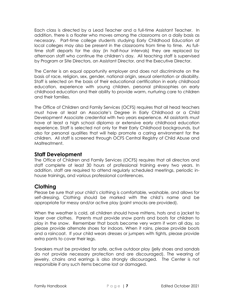Each class is directed by a Lead Teacher and a full-time Assistant Teacher. In addition, there is a floater who moves among the classrooms on a daily basis as necessary. Part-time college students studying Early Childhood Education at local colleges may also be present in the classrooms from time to time. As fulltime staff departs for the day (in half-hour intervals) they are replaced by afternoon staff who continue the children's day. All teaching staff is supervised by Program or Site Directors, an Assistant Director, and the Executive Director.

The Center is an equal opportunity employer and does not discriminate on the basis of race, religion, sex, gender, national origin, sexual orientation or disability. Staff is selected on the basis of their educational certification in early childhood education, experience with young children, personal philosophies on early childhood education and their ability to provide warm, nurturing care to children and their families.

The Office of Children and Family Services (OCFS) requires that all head teachers must have at least an Associate's Degree in Early Childhood or a Child Development Associate credential with two years experience. All assistants must have at least a high school diploma or extensive early childhood education experience. Staff is selected not only for their Early Childhood backgrounds, but also for personal qualities that will help promote a caring environment for the children. All staff is screened through OCFS Central Registry of Child Abuse and Maltreatment.

#### **Staff Development**

The Office of Children and Family Services (OCFS) requires that all directors and staff complete at least 30 hours of professional training every two years. In addition, staff are required to attend regularly scheduled meetings, periodic inhouse trainings**,** and various professional conferences.

## **Clothing**

Please be sure that your child's clothing is comfortable, washable, and allows for self-dressing. Clothing should be marked with the child's name and be appropriate for messy and/or active play (paint smocks are provided).

When the weather is cold, all children should have mittens, hats and a jacket to layer over clothes. Parents must provide snow pants and boots for children to play in the snow. Remember that boots become very warm if worn all day, so please provide alternate shoes for indoors. When it rains, please provide boots and a raincoat. If your child wears dresses or jumpers with tights, please provide extra pants to cover their legs.

Sneakers must be provided for safe, active outdoor play (jelly shoes and sandals do not provide necessary protection and are discouraged). The wearing of jewelry, chains and earrings is also strongly discouraged. The Center is not responsible if any such items become lost or damaged.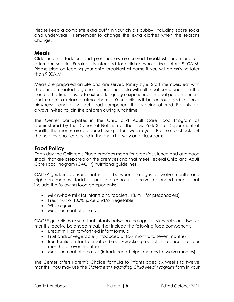Please keep a complete extra outfit in your child's cubby, including spare socks and underwear. Remember to change the extra clothes when the seasons change.

#### **Meals**

Older infants, toddlers and preschoolers are served breakfast, lunch and an afternoon snack. Breakfast is intended for children who arrive before 9:00A.M. Please plan on feeding your child breakfast at home if you will be arriving later than 9:00A.M.

Meals are prepared on site and are served family style. Staff members eat with the children seated together around the table with all meal components in the center. This time is used to extend language experiences, model good manners, and create a relaxed atmosphere. Your child will be encouraged to serve him/herself and to try each food component that is being offered. Parents are always invited to join the children during lunchtime.

The Center participates in the Child and Adult Care Food Program as administered by the Division of Nutrition of the New York State Department of Health. The menus are prepared using a four-week cycle. Be sure to check out the healthy choices posted in the main hallway and classrooms.

## **Food Policy**

Each day the Children's Place provides meals for breakfast, lunch and afternoon snack that are prepared on the premises and that meet Federal Child and Adult Care Food Program (CACFP) nutritional guidelines.

CACFP guidelines ensure that infants between the ages of twelve months and eighteen months, toddlers and preschoolers receive balanced meals that include the following food components:

- Milk (whole milk for infants and toddlers, 1% milk for preschoolers)
- Fresh fruit or 100% juice and/or vegetable
- Whole grain
- Meat or meat alternative

CACFP guidelines ensure that infants between the ages of six weeks and twelve months receive balanced meals that include the following food components:

- Breast milk or iron-fortified infant formula
- Fruit and/or vegetable (introduced at four months to seven months)
- Iron-fortified infant cereal or bread/cracker product (introduced at four months to seven months)
- Meat or meat alternative (introduced at eight months to twelve months)

The Center offers Parent's Choice formula to infants aged six weeks to twelve months. You may use the *Statement Regarding Child Meal Program* form in your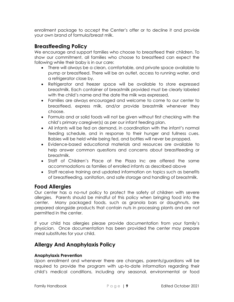enrollment package to accept the Center's offer or to decline it and provide your own brand of formula/breast milk.

## **Breastfeeding Policy**

We encourage and support families who choose to breastfeed their children. To show our commitment, all families who choose to breastfeed can expect the following while their baby is in our care:

- There will always be a clean, comfortable, and private space available to pump or breastfeed. There will be an outlet, access to running water, and a refrigerator close by.
- Refrigerator and freezer space will be available to store expressed breastmilk. Each container of breastmilk provided must be clearly labeled with the child's name and the date the milk was expressed.
- Families are always encouraged and welcome to come to our center to breastfeed, express milk, and/or provide breastmilk whenever they choose.
- Formula and or solid foods will not be given without first checking with the child's primary caregiver(s) as per our infant feeding plan.
- All infants will be fed on demand, in coordination with the infant's normal feeding schedule, and in response to their hunger and fullness cues. Babies will be held while being fed, and bottles will never be propped.
- Evidence-based educational materials and resources are available to help answer common questions and concerns about breastfeeding or breastmilk.
- Staff of Children's Place at the Plaza Inc are offered the same accommodations as families of enrolled infants as described above
- Staff receive training and updated information on topics such as benefits of breastfeeding, sanitation, and safe storage and handling of breastmilk.

#### **Food Allergies**

Our center has a no-nut policy to protect the safety of children with severe allergies. Parents should be mindful of this policy when bringing food into the center. Many packaged foods, such as granola bars or doughnuts, are prepared alongside products that contain nuts in processing plants and are not permitted in the center.

If your child has allergies please provide documentation from your family's physician. Once documentation has been provided the center may prepare meal substitutes for your child.

## **Allergy And Anaphylaxis Policy**

#### **Anaphylaxis Prevention**

Upon enrollment and whenever there are changes, parents/guardians will be required to provide the program with up-to-date information regarding their child's medical conditions, including any seasonal, environmental or food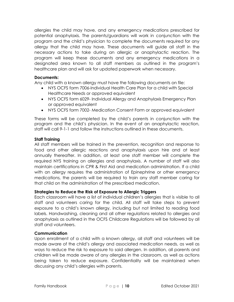allergies the child may have, and any emergency medications prescribed for potential anaphylaxis. The parents/guardians will work in conjunction with the program and the child's physician to complete the documents required for any allergy that the child may have. These documents will guide all staff in the necessary actions to take during an allergic or anaphylactic reaction. The program will keep these documents and any emergency medications in a designated area known to all staff members as outlined in the program's healthcare plan and will ask for updated paperwork when necessary.

#### **Documents:**

Any child with a known allergy must have the following documents on file:

- NYS OCFS form 7006-Individual Health Care Plan for a child with Special Healthcare Needs or approved equivalent
- NYS OCFS form 6029- Individual Allergy and Anaphylaxis Emergency Plan or approved equivalent
- NYS OCFS form 7002- Medication Consent Form or approved equivalent

These forms will be completed by the child's parents in conjunction with the program and the child's physician. In the event of an anaphylactic reaction, staff will call 9-1-1 and follow the instructions outlined in these documents.

#### **Staff Training**

All staff members will be trained in the prevention, recognition and response to food and other allergic reactions and anaphylaxis upon hire and at least annually thereafter. In addition, at least one staff member will complete the required NYS training on allergies and anaphylaxis. A number of staff will also maintain certifications in CPR & First Aid and medication administration. If a child with an allergy requires the administration of Epinephrine or other emergency medications, the parents will be required to train any staff member caring for that child on the administration of the prescribed medication.

#### **Strategies to Reduce the Risk of Exposure to Allergic Triggers**

Each classroom will have a list of individual children's allergies that is visible to all staff and volunteers caring for the child. All staff will take steps to prevent exposure to a child's known allergy, including but not limited to reading food labels. Handwashing, cleaning and all other regulations related to allergies and anaphylaxis as outlined in the OCFS Childcare Regulations will be followed by all staff and volunteers.

#### **Communication**

Upon enrollment of a child with a known allergy, all staff and volunteers will be made aware of the child's allergy and associated medication needs, as well as ways to reduce the risk to exposure to said allergen. In addition, all parents and children will be made aware of any allergies in the classroom, as well as actions being taken to reduce exposure. Confidentiality will be maintained when discussing any child's allergies with parents.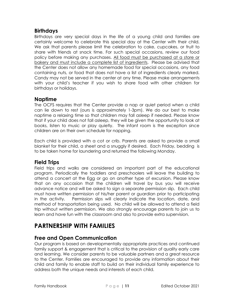## **Birthdays**

Birthdays are very special days in the life of a young child and families are certainly welcome to celebrate this special day at the Center with their child. We ask that parents please limit the celebration to cake, cupcakes, or fruit to share with friends at snack time. For such special occasions, review our food policy before making any purchases. All food must be purchased at a store or bakery and must include a complete list of ingredients. Please be advised that the Center does not allow any homemade food for special occasions, any food containing nuts, or food that does not have a list of ingredients clearly marked. Candy may not be served in the center at any time. Please make arrangements with your child's teacher if you wish to share food with other children for birthdays or holidays.

#### **Naptime**

The OCFS requires that the Center provide a nap or quiet period when a child can lie down to rest (ours is approximately 1-3pm). We do our best to make naptime a relaxing time so that children may fall asleep if needed. Please know that if your child does not fall asleep, they will be given the opportunity to look at books, listen to music or play quietly. The infant room is the exception since children are on their own schedule for napping.

Each child is provided with a cot or crib. Parents are asked to provide a small blanket for their child, a sheet and a snuggly if desired. Each Friday, bedding is to be taken home for laundering and returned the following Monday.

## **Field Trips**

Field trips and walks are considered an important part of the educational program. Periodically the toddlers and preschoolers will leave the building to attend a concert at the Egg or go on another type of excursion. Please know that on any occasion that the children will travel by bus you will receive advance notice and will be asked to sign a separate permission slip. Each child must have written permission of his/her parent or guardian prior to participating in the activity. Permission slips will clearly indicate the location, date, and method of transportation being used. No child will be allowed to attend a field trip without written permission. We also strongly encourage parents to join us to learn and have fun with the classroom and also to provide extra supervision.

# **PARTNERSHIP WITH FAMILIES**

## **Free and Open Communication**

Our program is based on developmentally appropriate practices and continued family support & engagement that is critical to the provision of quality early care and learning. We consider parents to be valuable partners and a great resource to the Center. Families are encouraged to provide any information about their child and family to enable staff to build on their individual family experience to address both the unique needs and interests of each child.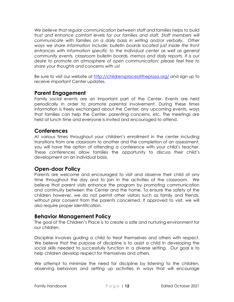*We believe that regular communication between staff and families helps to build trust and enhance comfort levels for our families and staff. Staff members will communicate with families on a daily basis in writing and/or verbally. Other ways we share information include: bulletin boards located just inside the front*  entrances with information specific to the individual center as well as general *community events, classroom bulletin boards, memos and daily reports. It is our desire to promote an atmosphere of open communication; please feel free to share your thoughts and concerns with us!*

Be sure to visit our website at<http://childrensplaceattheplaza.org/> and sign up to receive important Center updates.

#### **Parent Engagement**

Family social events are an important part of the Center. Events are held periodically in order to promote parental involvement. During these times information is freely exchanged about the Center, any upcoming events, ways that families can help the Center, parenting concerns, etc. The meetings are held at lunch time and everyone is invited and encouraged to attend.

#### **Conferences**

At various times throughout your children's enrollment in the center including transitions from one classroom to another and the completion of an assessment, you will have the option of attending a conference with your child's teacher. These conferences allow families the opportunity to discuss their child's development on an individual basis.

#### **Open-door Policy**

Parents are welcome and encouraged to visit and observe their child at any time throughout the day and to join in the activities of the classroom. We believe that parent visits enhance the program by promoting communication and continuity between the Center and the home. To ensure the safety of the children however, we do not permit other visitors such as family and friends, without prior consent from the parents concerned. If approved to visit, we will also require proper identification.

#### **Behavior Management Policy**

The goal of The Children's Place is to create a safe and nurturing environment for our children.

Discipline involves guiding a child to treat themselves and others with respect. We believe that the purpose of discipline is to assist a child in developing the social skills needed to successfully function in a diverse setting. Our goal is to help children develop respect for themselves and others.

We attempt to minimize the need for discipline by listening to the children, observing behaviors and setting up activities in ways that will encourage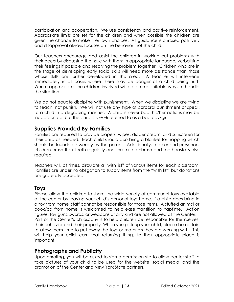participation and cooperation. We use consistency and positive reinforcement. Appropriate limits are set for the children and when possible the children are given the chance to make their own choices. All guidance is phrased positively and disapproval always focuses on the behavior, not the child.

Our teachers encourage and assist the children in working out problems with their peers by discussing the issue with them in appropriate language, verbalizing their feelings if possible and resolving the problem together. Children who are in the stage of developing early social skills will need more assistance than those whose skills are further developed in this area. A teacher will intervene immediately in all cases where there may be danger of a child being hurt. Where appropriate, the children involved will be offered suitable ways to handle the situation.

We do not equate discipline with punishment. When we discipline we are trying to teach, not punish. We will not use any type of corporal punishment or speak to a child in a degrading manner. A child is never bad, his/her actions may be inappropriate, but the child is NEVER referred to as a bad boy/girl.

## **Supplies Provided By Families**

Families are required to provide diapers, wipes, diaper cream, and sunscreen for their child as needed. Each child should also bring a blanket for napping which should be laundered weekly by the parent. Additionally, toddler and preschool children brush their teeth regularly and thus a toothbrush and toothpaste is also required.

Teachers will, at times, circulate a "wish list" of various items for each classroom. Families are under no obligation to supply items from the "wish list" but donations are gratefully accepted.

## **Toys**

Please allow the children to share the wide variety of communal toys available at the center by leaving your child's personal toys home. If a child does bring in a toy from home, staff cannot be responsible for those items. A stuffed animal or book/cd from home is welcomed to help ease transition to naptime. Action figures, toy guns, swords, or weapons of any kind are not allowed at the Center. Part of the Center's philosophy is to help children be responsible for themselves, their behavior and their property. When you pick up your child, please be certain to allow them time to put away the toys or materials they are working with. This will help your child learn that returning things to their appropriate place is important.

## **Photographs and Publicity**

Upon enrolling, you will be asked to sign a permission slip to allow center staff to take pictures of your child to be used for the website, social media, and the promotion of the Center and New York State partners.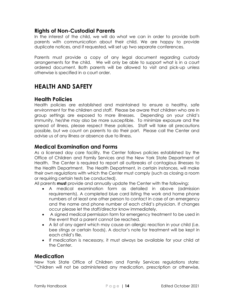#### **Rights of Non-Custodial Parents**

In the interest of the child, we will do what we can in order to provide both parents with communication about their child. We are happy to provide duplicate notices, and if requested, will set up two separate conferences.

Parents must provide a copy of any legal document regarding custody arrangements for the child. We will only be able to support what is in a court ordered document. Both parents will be allowed to visit and pick-up unless otherwise is specified in a court order.

# **HEALTH AND SAFETY**

#### **Health Policies**

Health policies are established and maintained to ensure a healthy, safe environment for the children and staff. Please be aware that children who are in group settings are exposed to more illnesses. Depending on your child's immunity, he/she may also be more susceptible. To minimize exposure and the spread of illness, please respect these policies. Staff will take all precautions possible, but we count on parents to do their part. Please call the Center and advise us of any illness or absence due to illness.

#### **Medical Examination and Forms**

As a licensed day care facility, the Center follows policies established by the Office of Children and Family Services and the New York State Department of Health. The Center is required to report all outbreaks of contagious illnesses to the Health Department. The Health Department, in certain instances, will make their own regulations with which the Center must comply (such as closing a room or requiring certain tests be conducted).

All parents **must** provide and annually update the Center with the following:

- A medical examination form as detailed in above (admission requirements). A completed blue card listing the work and home phone numbers of at least one other person to contact in case of an emergency and the name and phone number of each child's physician. If changes occur please let the staff/director know immediately.
- A signed medical permission form for emergency treatment to be used in the event that a parent cannot be reached.
- A list of any agent which may cause an allergic reaction in your child (i.e. bee stings or certain foods). A doctor's note for treatment will be kept in each child's file.
- If medication is necessary, it must always be available for your child at the Center.

#### **Medication**

New York State Office of Children and Family Services regulations state: "Children will not be administered any medication, prescription or otherwise,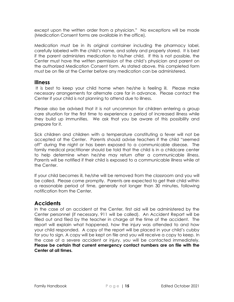except upon the written order from a physician." No exceptions will be made (Medication Consent forms are available in the office).

Medication must be in its original container including the pharmacy label, carefully labeled with the child's name, and safely and properly stored. It is best if the parent administers medication to his/her child. If this is not possible, the Center must have the written permission of the child's physician and parent on the authorized Medication Consent form. As stated above, this completed form must be on file at the Center before any medication can be administered.

#### **Illness**

It is best to keep your child home when he/she is feeling ill. Please make necessary arrangements for alternate care far in advance. Please contact the Center if your child is not planning to attend due to illness.

Please also be advised that it is not uncommon for children entering a group care situation for the first time to experience a period of increased illness while they build up immunities. We ask that you be aware of this possibility and prepare for it.

Sick children and children with a temperature constituting a fever will not be accepted at the Center. Parents should advise teachers if the child "seemed off" during the night or has been exposed to a communicable disease. The family medical practitioner should be told that the child is in a childcare center to help determine when he/she may return after a communicable illness. Parents will be notified if their child is exposed to a communicable illness while at the Center.

If your child becomes ill, he/she will be removed from the classroom and you will be called. Please come promptly. Parents are expected to get their child within a reasonable period of time, generally not longer than 30 minutes, following notification from the Center.

## **Accidents**

In the case of an accident at the Center, first aid will be administered by the Center personnel (if necessary, 911 will be called). An Accident Report will be filled out and filed by the teacher in charge at the time of the accident. The report will explain what happened, how the injury was attended to and how your child responded. A copy of the report will be placed in your child's cubby for you to sign. A copy will be kept on file and you will receive a copy to keep. In the case of a severe accident or injury, you will be contacted immediately. **Please be certain that current emergency contact numbers are on file with the Center at all times.**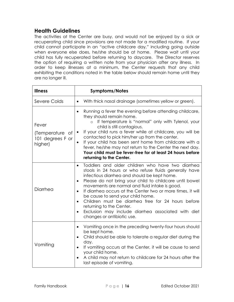#### **Health Guidelines**

The activities at the Center are busy, and would not be enjoyed by a sick or recuperating child since provisions are not made for a modified routine. If your child cannot participate in an "active childcare day," including going outside when everyone else does, he/she should be at home. Please wait until your child has fully recuperated before returning to daycare. The Director reserves the option of requiring a written note from your physician after any illness. In order to keep illnesses at a minimum, the Center requests that any child exhibiting the conditions noted in the table below should remain home until they are no longer ill.

| <b>Illness</b>                                          | <b>Symptoms/Notes</b>                                                                                                                                                                                                                                                                                                                                                                                                                                                                                                                                                                                   |
|---------------------------------------------------------|---------------------------------------------------------------------------------------------------------------------------------------------------------------------------------------------------------------------------------------------------------------------------------------------------------------------------------------------------------------------------------------------------------------------------------------------------------------------------------------------------------------------------------------------------------------------------------------------------------|
| Severe Colds                                            | With thick nasal drainage (sometimes yellow or green).<br>$\bullet$                                                                                                                                                                                                                                                                                                                                                                                                                                                                                                                                     |
| Fever<br>(Temperature of<br>101 degrees F or<br>higher) | Running a fever the evening before attending childcare,<br>$\bullet$<br>they should remain home.<br>If temperature is "normal" only with Tylenol, your<br>child is still contagious.<br>If your child runs a fever while at childcare, you will be<br>$\bullet$<br>contacted to pick him/her up from the center.<br>If your child has been sent home from childcare with a<br>$\bullet$<br>fever, he/she may not return to the Center the next day.<br>Your child must be fever-free for at least 24 hours before<br>returning to the Center.                                                           |
| Diarrhea                                                | Toddlers and older children who have two diarrhea<br>$\bullet$<br>stools in 24 hours or who refuse fluids generally have<br>infectious diarrhea and should be kept home.<br>Please do not bring your child to childcare until bowel<br>$\bullet$<br>movements are normal and fluid intake is good.<br>If diarrhea occurs at the Center two or more times, it will<br>$\bullet$<br>be cause to send your child home.<br>Children must be diarrhea free for 24 hours before<br>$\bullet$<br>returning to the Center.<br>Exclusion may include diarrhea associated with diet<br>changes or antibiotic use. |
| Vomiting                                                | Vomiting once in the preceding twenty-four hours should<br>$\bullet$<br>be kept home.<br>Child should be able to tolerate a regular diet during the<br>$\bullet$<br>day.<br>If vomiting occurs at the Center, it will be cause to send<br>$\bullet$<br>your child home.<br>A child may not return to childcare for 24 hours after the<br>$\bullet$<br>last episode of vomiting.                                                                                                                                                                                                                         |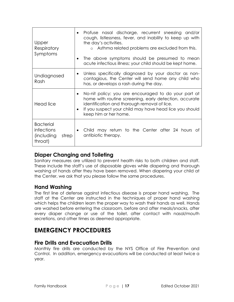| Upper<br>Respiratory<br>Symptoms                                 | Profuse nasal discharge, recurrent sneezing and/or<br>cough, listlessness, fever, and inability to keep up with<br>the day's activities.<br>o Asthma related problems are excluded from this.<br>The above symptoms should be presumed to mean<br>acute infectious illness; your child should be kept home. |
|------------------------------------------------------------------|-------------------------------------------------------------------------------------------------------------------------------------------------------------------------------------------------------------------------------------------------------------------------------------------------------------|
| Undiagnosed<br>Rash                                              | Unless specifically diagnosed by your doctor as non-<br>٠<br>contagious, the Center will send home any child who<br>has, or develops a rash during the day.                                                                                                                                                 |
| Head lice                                                        | No-nit policy: you are encouraged to do your part at<br>home with routine screening, early detection, accurate<br>identification and thorough removal of lice.<br>If you suspect your child may have head lice you should<br>keep him or her home.                                                          |
| <b>Bacterial</b><br>infections<br>(including<br>strep<br>throat) | Child may return to the Center after 24 hours of<br>antibiotic therapy.                                                                                                                                                                                                                                     |

## **Diaper Changing and Toileting**

Sanitary measures are utilized to prevent health risks to both children and staff. These include the staff's use of disposable gloves while diapering and thorough washing of hands after they have been removed. When diapering your child at the Center, we ask that you please follow the same procedures.

## **Hand Washing**

The first line of defense against infectious disease is proper hand washing. The staff at the Center are instructed in the techniques of proper hand washing which helps the children learn the proper way to wash their hands as well. Hands are washed before entering the classroom, before and after meals/snacks, after every diaper change or use of the toilet, after contact with nasal/mouth secretions, and other times as deemed appropriate.

# **EMERGENCY PROCEDURES**

## **Fire Drills and Evacuation Drills**

Monthly fire drills are conducted by the NYS Office of Fire Prevention and Control. In addition, emergency evacuations will be conducted at least twice a year.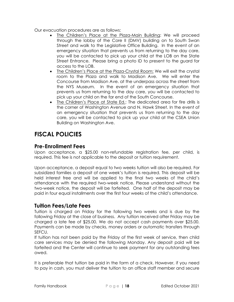Our evacuation procedures are as follows:

- The Children's Place at the Plaza-Main Building: We will proceed through the lobby of the Core II (DMV) building on to South Swan Street and walk to the Legislative Office Building. In the event of an emergency situation that prevents us from returning to the day care, you will be contacted to pick up your child at the LOB on the State Street Entrance. Please bring a photo ID to present to the guard for access to the LOB.
- The Children's Place at the Plaza-Crystal Room: We will exit the crystal room to the Plaza and walk to Madison Ave. We will enter the Concourse from Madison Ave. at the underpass across the street from the NYS Museum. In the event of an emergency situation that prevents us from returning to the day care, you will be contacted to pick up your child on the far end of the South Concourse.
- The Children's Place at State Ed.: The dedicated area for fire drills is the corner of Washington Avenue and N. Hawk Street. In the event of an emergency situation that prevents us from returning to the day care, you will be contacted to pick up your child at the CSEA Union Building on Washington Ave.

# **FISCAL POLICIES**

#### **Pre-Enrollment Fees**

Upon acceptance, a \$25.00 non-refundable registration fee, per child, is required. This fee is not applicable to the deposit or tuition requirement.

Upon acceptance, a deposit equal to two weeks tuition will also be required. For subsidized families a deposit of one week's tuition is required. This deposit will be held interest free and will be applied to the final two weeks of the child's attendance with the required two-week notice. Please understand without the two-week notice, the deposit will be forfeited. One half of the deposit may be paid in four equal installments over the first four weeks of the child's attendance.

## **Tuition Fees/Late Fees**

Tuition is charged on Friday for the following two weeks and is due by the following Friday at the close of business. Any tuition received after Friday may be charged a late fee of \$25.00. We do not accept cash payments over \$25.00. Payments can be made by checks, money orders or automatic transfers through SEFCU.

If tuition has not been paid by the Friday of the first week of service, then child care services may be denied the following Monday. Any deposit paid will be forfeited and the Center will continue to seek payment for any outstanding fees owed.

It is preferable that tuition be paid in the form of a check. However, if you need to pay in cash, you must deliver the tuition to an office staff member and secure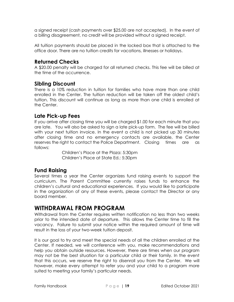a signed receipt (cash payments over \$25.00 are not accepted). In the event of a billing disagreement, no credit will be provided without a signed receipt.

All tuition payments should be placed in the locked box that is attached to the office door. There are no tuition credits for vacations, illnesses or holidays.

#### **Returned Checks**

A \$20.00 penalty will be charged for all returned checks. This fee will be billed at the time of the occurrence.

#### **Sibling Discount**

There is a 10% reduction in tuition for families who have more than one child enrolled in the Center. The tuition reduction will be taken off the oldest child's tuition. This discount will continue as long as more than one child is enrolled at the Center.

#### **Late Pick-up Fees**

If you arrive after closing time you will be charged \$1.00 for each minute that you are late. You will also be asked to sign a late pick-up form. The fee will be billed with your next tuition invoice. In the event a child is not picked up 30 minutes after closing time and no emergency contacts are available, the Center reserves the right to contact the Police Department. Closing times are as follows:

> Children's Place at the Plaza: 5:30pm Children's Place at State Ed.: 5:30pm

#### **Fund Raising**

Several times a year the Center organizes fund raising events to support the curriculum. The Parent Committee currently raises funds to enhance the children's cultural and educational experiences. If you would like to participate in the organization of any of these events, please contact the Director or any board member.

# **WITHDRAWAL FROM PROGRAM**

Withdrawal from the Center requires written notification no less than two weeks prior to the intended date of departure. This allows the Center time to fill the vacancy. Failure to submit your notice within the required amount of time will result in the loss of your two-week tuition deposit.

It is our goal to try and meet the special needs of all the children enrolled at the Center. If needed, we will conference with you, make recommendations and help you obtain outside resources. However, there are times when our program may not be the best situation for a particular child or their family. In the event that this occurs, we reserve the right to disenroll you from the Center. We will however, make every attempt to refer you and your child to a program more suited to meeting your family's particular needs.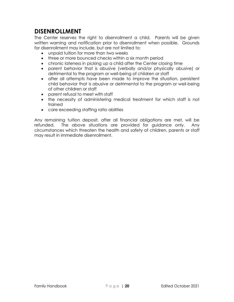# **DISENROLLMENT**

The Center reserves the right to disenrollment a child. Parents will be given written warning and notification prior to disenrollment when possible. Grounds for disenrollment may include, but are not limited to:

- unpaid tuition for more than two weeks
- three or more bounced checks within a six month period
- chronic lateness in picking up a child after the Center closing time
- parent behavior that is abusive (verbally and/or physically abusive) or detrimental to the program or well-being of children or staff
- after all attempts have been made to improve the situation, persistent child behavior that is abusive or detrimental to the program or well-being of other children or staff
- parent refusal to meet with staff
- the necessity of administering medical treatment for which staff is not trained
- care exceeding staffing ratio abilities

Any remaining tuition deposit, after all financial obligations are met, will be refunded. The above situations are provided for guidance only. Any circumstances which threaten the health and safety of children, parents or staff may result in immediate disenrollment.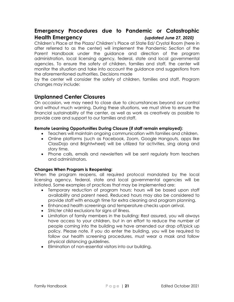## **Emergency Procedures due to Pandemic or Catastrophic Health Emergency** *(updated June 27, 2020)*

Children's Place at the Plaza/ Children's Place at State Ed/ Crystal Room (here in after referred to as the center) will implement the Pandemic Section of the Parent Handbook under the guidance and direction of the program administration, local licensing agency, federal, state and local governmental agencies. To ensure the safety of children, families and staff, the center will monitor the situation and take into account the guidance and suggestions from the aforementioned authorities. Decisions made

by the center will consider the safety of children, families and staff. Program changes may include:

## **Unplanned Center Closures**

On occasion, we may need to close due to circumstances beyond our control and without much warning. During these situations, we must strive to ensure the financial sustainability of the center, as well as work as creatively as possible to provide care and support to our families and staff.

#### **Remote Learning Opportunities During Closure (if staff remain employed):**

- Teachers will maintain ongoing communication with families and children.
- Online platforms (such as Facebook, Zoom, Google Hangouts, apps like ClassDojo and Brightwheel) will be utilized for activities, sing along and story time.
- Phone calls, emails and newsletters will be sent regularly from teachers and administrators.

#### **Changes When Program is Reopening:**

When the program reopens, all required protocol mandated by the local licensing agency, federal, state and local governmental agencies will be initiated. Some examples of practices that may be implemented are:

- Temporary reduction of program hours: hours will be based upon staff availability and parent need. Reduced hours may also be considered to provide staff with enough time for extra cleaning and program planning.
- Enhanced health screenings and temperature checks upon arrival.
- Stricter child exclusions for signs of illness.
- Limitation of family members in the building: Rest assured, you will always have access to your children, but in an effort to reduce the number of people coming into the building we have amended our drop off/pick up policy. Please note, if you do enter the building, you will be required to follow our health screening procedures, must wear a mask and follow physical distancing guidelines.
- Elimination of non-essential visitors into our building.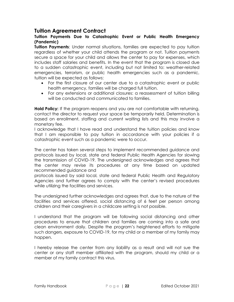#### **Tuition Agreement Contract**

#### **Tuition Payments Due to Catastrophic Event or Public Health Emergency (Pandemic)**

**Tuition Payments**: Under normal situations, families are expected to pay tuition regardless of whether your child attends the program or not. Tuition payments secure a space for your child and allows the center to pay for expenses, which includes staff salaries and benefits. In the event that the program is closed due to a sudden catastrophic event, including but not limited to: weather-related emergencies, terrorism, or public health emergencies such as a pandemic, tuition will be expected as follows:

- For the first closure of our center due to a catastrophic event or public health emergency, families will be charged full tuition.
- For any extensions or additional closures: a reassessment of tuition billing will be conducted and communicated to families.

**Hold Policy:** If the program reopens and you are not comfortable with returning, contact the director to request your space be temporarily held. Determination is based on enrollment, staffing and current waiting lists and this may involve a monetary fee.

I acknowledge that I have read and understand the tuition policies and know that I am responsible to pay tuition in accordance with your policies if a catastrophic event such as a pandemic were to occur.

The center has taken several steps to implement recommended guidance and protocols issued by local, state and federal Public Health Agencies for slowing the transmission of COVID-19. The undersigned acknowledges and agrees that the center may revise its procedures at any time based on updated recommended guidance and

protocols issued by said local, state and federal Public Health and Regulatory Agencies and further agrees to comply with the center's revised procedures while utilizing the facilities and services.

The undersigned further acknowledges and agrees that, due to the nature of the facilities and services offered, social distancing of 6 feet per person among children and their caregivers in a childcare setting is not possible.

I understand that the program will be following social distancing and other procedures to ensure that children and families are coming into a safe and clean environment daily. Despite the program's heightened efforts to mitigate such dangers, exposure to COVID-19, for my child or a member of my family may happen.

I hereby release the center from any liability as a result and will not sue the center or any staff member affiliated with the program, should my child or a member of my family contract this virus.